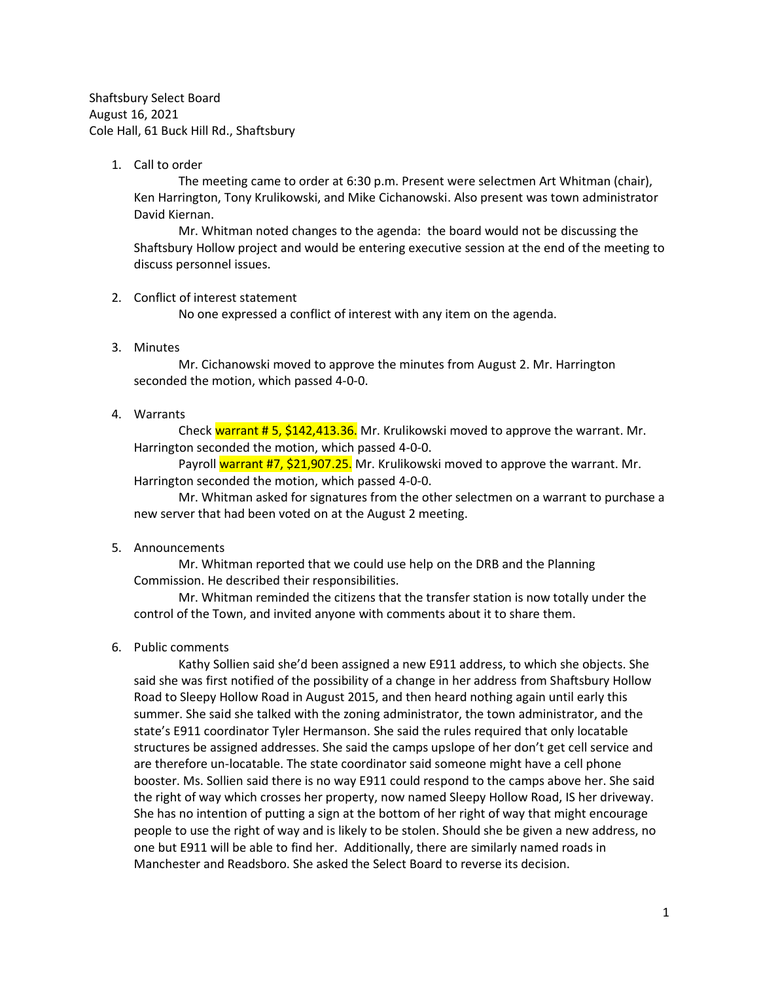Shaftsbury Select Board August 16, 2021 Cole Hall, 61 Buck Hill Rd., Shaftsbury

1. Call to order

The meeting came to order at 6:30 p.m. Present were selectmen Art Whitman (chair), Ken Harrington, Tony Krulikowski, and Mike Cichanowski. Also present was town administrator David Kiernan.

Mr. Whitman noted changes to the agenda: the board would not be discussing the Shaftsbury Hollow project and would be entering executive session at the end of the meeting to discuss personnel issues.

## 2. Conflict of interest statement

No one expressed a conflict of interest with any item on the agenda.

3. Minutes

Mr. Cichanowski moved to approve the minutes from August 2. Mr. Harrington seconded the motion, which passed 4-0-0.

4. Warrants

Check warrant  $\#$  5, \$142,413.36. Mr. Krulikowski moved to approve the warrant. Mr. Harrington seconded the motion, which passed 4-0-0.

Payroll warrant #7, \$21,907.25. Mr. Krulikowski moved to approve the warrant. Mr. Harrington seconded the motion, which passed 4-0-0.

Mr. Whitman asked for signatures from the other selectmen on a warrant to purchase a new server that had been voted on at the August 2 meeting.

## 5. Announcements

Mr. Whitman reported that we could use help on the DRB and the Planning Commission. He described their responsibilities.

Mr. Whitman reminded the citizens that the transfer station is now totally under the control of the Town, and invited anyone with comments about it to share them.

6. Public comments

Kathy Sollien said she'd been assigned a new E911 address, to which she objects. She said she was first notified of the possibility of a change in her address from Shaftsbury Hollow Road to Sleepy Hollow Road in August 2015, and then heard nothing again until early this summer. She said she talked with the zoning administrator, the town administrator, and the state's E911 coordinator Tyler Hermanson. She said the rules required that only locatable structures be assigned addresses. She said the camps upslope of her don't get cell service and are therefore un-locatable. The state coordinator said someone might have a cell phone booster. Ms. Sollien said there is no way E911 could respond to the camps above her. She said the right of way which crosses her property, now named Sleepy Hollow Road, IS her driveway. She has no intention of putting a sign at the bottom of her right of way that might encourage people to use the right of way and is likely to be stolen. Should she be given a new address, no one but E911 will be able to find her. Additionally, there are similarly named roads in Manchester and Readsboro. She asked the Select Board to reverse its decision.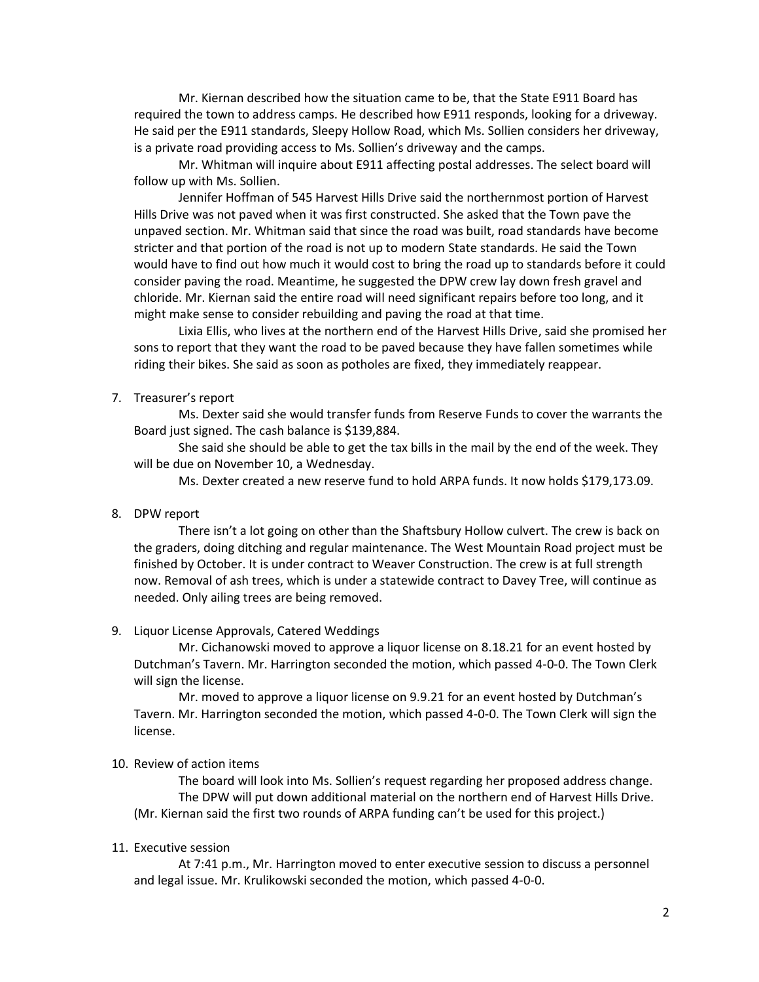Mr. Kiernan described how the situation came to be, that the State E911 Board has required the town to address camps. He described how E911 responds, looking for a driveway. He said per the E911 standards, Sleepy Hollow Road, which Ms. Sollien considers her driveway, is a private road providing access to Ms. Sollien's driveway and the camps.

Mr. Whitman will inquire about E911 affecting postal addresses. The select board will follow up with Ms. Sollien.

Jennifer Hoffman of 545 Harvest Hills Drive said the northernmost portion of Harvest Hills Drive was not paved when it was first constructed. She asked that the Town pave the unpaved section. Mr. Whitman said that since the road was built, road standards have become stricter and that portion of the road is not up to modern State standards. He said the Town would have to find out how much it would cost to bring the road up to standards before it could consider paving the road. Meantime, he suggested the DPW crew lay down fresh gravel and chloride. Mr. Kiernan said the entire road will need significant repairs before too long, and it might make sense to consider rebuilding and paving the road at that time.

Lixia Ellis, who lives at the northern end of the Harvest Hills Drive, said she promised her sons to report that they want the road to be paved because they have fallen sometimes while riding their bikes. She said as soon as potholes are fixed, they immediately reappear.

### 7. Treasurer's report

Ms. Dexter said she would transfer funds from Reserve Funds to cover the warrants the Board just signed. The cash balance is \$139,884.

She said she should be able to get the tax bills in the mail by the end of the week. They will be due on November 10, a Wednesday.

Ms. Dexter created a new reserve fund to hold ARPA funds. It now holds \$179,173.09.

#### 8. DPW report

There isn't a lot going on other than the Shaftsbury Hollow culvert. The crew is back on the graders, doing ditching and regular maintenance. The West Mountain Road project must be finished by October. It is under contract to Weaver Construction. The crew is at full strength now. Removal of ash trees, which is under a statewide contract to Davey Tree, will continue as needed. Only ailing trees are being removed.

#### 9. Liquor License Approvals, Catered Weddings

Mr. Cichanowski moved to approve a liquor license on 8.18.21 for an event hosted by Dutchman's Tavern. Mr. Harrington seconded the motion, which passed 4-0-0. The Town Clerk will sign the license.

Mr. moved to approve a liquor license on 9.9.21 for an event hosted by Dutchman's Tavern. Mr. Harrington seconded the motion, which passed 4-0-0. The Town Clerk will sign the license.

## 10. Review of action items

The board will look into Ms. Sollien's request regarding her proposed address change. The DPW will put down additional material on the northern end of Harvest Hills Drive. (Mr. Kiernan said the first two rounds of ARPA funding can't be used for this project.)

#### 11. Executive session

At 7:41 p.m., Mr. Harrington moved to enter executive session to discuss a personnel and legal issue. Mr. Krulikowski seconded the motion, which passed 4-0-0.